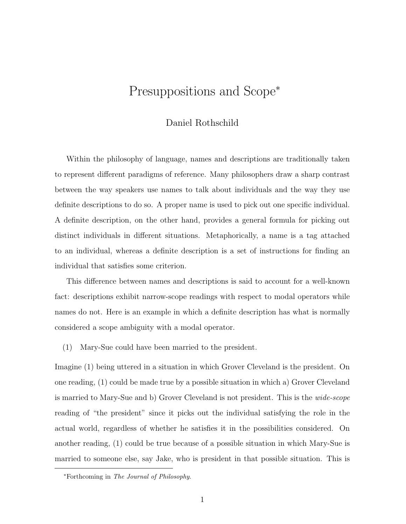## Presuppositions and Scope<sup>∗</sup>

#### Daniel Rothschild

Within the philosophy of language, names and descriptions are traditionally taken to represent different paradigms of reference. Many philosophers draw a sharp contrast between the way speakers use names to talk about individuals and the way they use definite descriptions to do so. A proper name is used to pick out one specific individual. A definite description, on the other hand, provides a general formula for picking out distinct individuals in different situations. Metaphorically, a name is a tag attached to an individual, whereas a definite description is a set of instructions for finding an individual that satisfies some criterion.

This difference between names and descriptions is said to account for a well-known fact: descriptions exhibit narrow-scope readings with respect to modal operators while names do not. Here is an example in which a definite description has what is normally considered a scope ambiguity with a modal operator.

(1) Mary-Sue could have been married to the president.

Imagine (1) being uttered in a situation in which Grover Cleveland is the president. On one reading, (1) could be made true by a possible situation in which a) Grover Cleveland is married to Mary-Sue and b) Grover Cleveland is not president. This is the *wide-scope* reading of "the president" since it picks out the individual satisfying the role in the actual world, regardless of whether he satisfies it in the possibilities considered. On another reading, (1) could be true because of a possible situation in which Mary-Sue is married to someone else, say Jake, who is president in that possible situation. This is

<sup>∗</sup>Forthcoming in The Journal of Philosophy.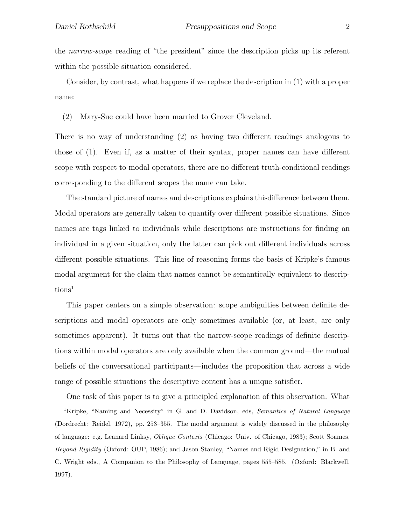the *narrow-scope* reading of "the president" since the description picks up its referent within the possible situation considered.

Consider, by contrast, what happens if we replace the description in (1) with a proper name:

(2) Mary-Sue could have been married to Grover Cleveland.

There is no way of understanding (2) as having two different readings analogous to those of (1). Even if, as a matter of their syntax, proper names can have different scope with respect to modal operators, there are no different truth-conditional readings corresponding to the different scopes the name can take.

The standard picture of names and descriptions explains thisdifference between them. Modal operators are generally taken to quantify over different possible situations. Since names are tags linked to individuals while descriptions are instructions for finding an individual in a given situation, only the latter can pick out different individuals across different possible situations. This line of reasoning forms the basis of Kripke's famous modal argument for the claim that names cannot be semantically equivalent to descriptions<sup>1</sup>

This paper centers on a simple observation: scope ambiguities between definite descriptions and modal operators are only sometimes available (or, at least, are only sometimes apparent). It turns out that the narrow-scope readings of definite descriptions within modal operators are only available when the common ground—the mutual beliefs of the conversational participants—includes the proposition that across a wide range of possible situations the descriptive content has a unique satisfier.

One task of this paper is to give a principled explanation of this observation. What <sup>1</sup>Kripke, "Naming and Necessity" in G. and D. Davidson, eds, *Semantics of Natural Language* (Dordrecht: Reidel, 1972), pp. 253–355. The modal argument is widely discussed in the philosophy of language: e.g. Leanard Linksy, Oblique Contexts (Chicago: Univ. of Chicago, 1983); Scott Soames, Beyond Rigidity (Oxford: OUP, 1986); and Jason Stanley, "Names and Rigid Designation," in B. and C. Wright eds., A Companion to the Philosophy of Language, pages 555–585. (Oxford: Blackwell, 1997).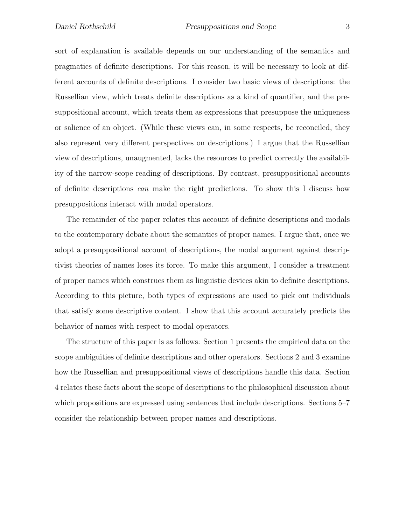sort of explanation is available depends on our understanding of the semantics and pragmatics of definite descriptions. For this reason, it will be necessary to look at different accounts of definite descriptions. I consider two basic views of descriptions: the Russellian view, which treats definite descriptions as a kind of quantifier, and the presuppositional account, which treats them as expressions that presuppose the uniqueness or salience of an object. (While these views can, in some respects, be reconciled, they also represent very different perspectives on descriptions.) I argue that the Russellian view of descriptions, unaugmented, lacks the resources to predict correctly the availability of the narrow-scope reading of descriptions. By contrast, presuppositional accounts of definite descriptions *can* make the right predictions. To show this I discuss how presuppositions interact with modal operators.

The remainder of the paper relates this account of definite descriptions and modals to the contemporary debate about the semantics of proper names. I argue that, once we adopt a presuppositional account of descriptions, the modal argument against descriptivist theories of names loses its force. To make this argument, I consider a treatment of proper names which construes them as linguistic devices akin to definite descriptions. According to this picture, both types of expressions are used to pick out individuals that satisfy some descriptive content. I show that this account accurately predicts the behavior of names with respect to modal operators.

The structure of this paper is as follows: Section 1 presents the empirical data on the scope ambiguities of definite descriptions and other operators. Sections 2 and 3 examine how the Russellian and presuppositional views of descriptions handle this data. Section 4 relates these facts about the scope of descriptions to the philosophical discussion about which propositions are expressed using sentences that include descriptions. Sections 5–7 consider the relationship between proper names and descriptions.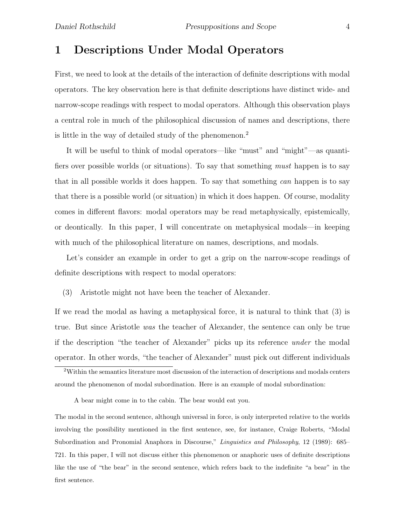## 1 Descriptions Under Modal Operators

First, we need to look at the details of the interaction of definite descriptions with modal operators. The key observation here is that definite descriptions have distinct wide- and narrow-scope readings with respect to modal operators. Although this observation plays a central role in much of the philosophical discussion of names and descriptions, there is little in the way of detailed study of the phenomenon.<sup>2</sup>

It will be useful to think of modal operators—like "must" and "might"—as quantifiers over possible worlds (or situations). To say that something *must* happen is to say that in all possible worlds it does happen. To say that something *can* happen is to say that there is a possible world (or situation) in which it does happen. Of course, modality comes in different flavors: modal operators may be read metaphysically, epistemically, or deontically. In this paper, I will concentrate on metaphysical modals—in keeping with much of the philosophical literature on names, descriptions, and modals.

Let's consider an example in order to get a grip on the narrow-scope readings of definite descriptions with respect to modal operators:

(3) Aristotle might not have been the teacher of Alexander.

If we read the modal as having a metaphysical force, it is natural to think that (3) is true. But since Aristotle *was* the teacher of Alexander, the sentence can only be true if the description "the teacher of Alexander" picks up its reference *under* the modal operator. In other words, "the teacher of Alexander" must pick out different individuals

A bear might come in to the cabin. The bear would eat you.

The modal in the second sentence, although universal in force, is only interpreted relative to the worlds involving the possibility mentioned in the first sentence, see, for instance, Craige Roberts, "Modal Subordination and Pronomial Anaphora in Discourse," Linguistics and Philosophy, 12 (1989): 685– 721. In this paper, I will not discuss either this phenomenon or anaphoric uses of definite descriptions like the use of "the bear" in the second sentence, which refers back to the indefinite "a bear" in the first sentence.

<sup>2</sup>Within the semantics literature most discussion of the interaction of descriptions and modals centers around the phenomenon of modal subordination. Here is an example of modal subordination: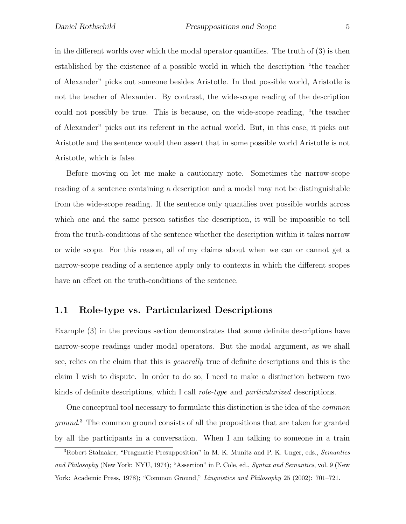in the different worlds over which the modal operator quantifies. The truth of (3) is then established by the existence of a possible world in which the description "the teacher of Alexander" picks out someone besides Aristotle. In that possible world, Aristotle is not the teacher of Alexander. By contrast, the wide-scope reading of the description could not possibly be true. This is because, on the wide-scope reading, "the teacher of Alexander" picks out its referent in the actual world. But, in this case, it picks out Aristotle and the sentence would then assert that in some possible world Aristotle is not Aristotle, which is false.

Before moving on let me make a cautionary note. Sometimes the narrow-scope reading of a sentence containing a description and a modal may not be distinguishable from the wide-scope reading. If the sentence only quantifies over possible worlds across which one and the same person satisfies the description, it will be impossible to tell from the truth-conditions of the sentence whether the description within it takes narrow or wide scope. For this reason, all of my claims about when we can or cannot get a narrow-scope reading of a sentence apply only to contexts in which the different scopes have an effect on the truth-conditions of the sentence.

#### 1.1 Role-type vs. Particularized Descriptions

Example (3) in the previous section demonstrates that some definite descriptions have narrow-scope readings under modal operators. But the modal argument, as we shall see, relies on the claim that this is *generally* true of definite descriptions and this is the claim I wish to dispute. In order to do so, I need to make a distinction between two kinds of definite descriptions, which I call *role-type* and *particularized* descriptions.

One conceptual tool necessary to formulate this distinction is the idea of the *common ground*. <sup>3</sup> The common ground consists of all the propositions that are taken for granted by all the participants in a conversation. When I am talking to someone in a train

<sup>&</sup>lt;sup>3</sup>Robert Stalnaker, "Pragmatic Presupposition" in M. K. Munitz and P. K. Unger, eds., *Semantics* and Philosophy (New York: NYU, 1974); "Assertion" in P. Cole, ed., Syntax and Semantics, vol. 9 (New York: Academic Press, 1978); "Common Ground," Linguistics and Philosophy 25 (2002): 701–721.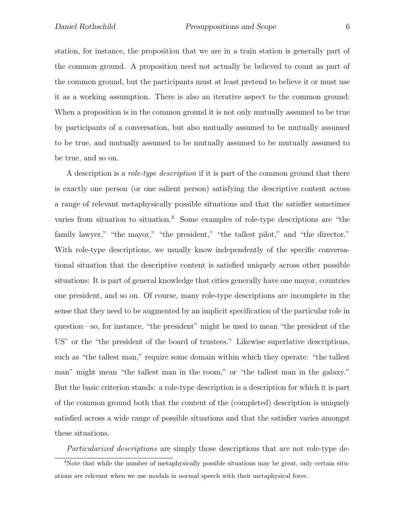station, for instance, the proposition that we are in a train station is generally part of the common ground. A proposition need not actually be believed to count as part of the common ground, but the participants must at least pretend to believe it or must use it as a working assumption. There is also an iterative aspect to the common ground: When a proposition is in the common ground it is not only mutually assumed to be true by participants of a conversation, but also mutually assumed to be mutually assumed to be true, and mutually assumed to be mutually assumed to be mutually assumed to be true, and so on.

A description is a *role-type description* if it is part of the common ground that there is exactly one person (or one salient person) satisfying the descriptive content across a range of relevant metaphysically possible situations and that the satisfier sometimes varies from situation to situation.<sup>4</sup> Some examples of role-type descriptions are "the family lawyer," "the mayor," "the president," "the tallest pilot," and "the director." With role-type descriptions, we usually know independently of the specific conversational situation that the descriptive content is satisfied uniquely across other possible situations: It is part of general knowledge that cities generally have one mayor, countries one president, and so on. Of course, many role-type descriptions are incomplete in the sense that they need to be augmented by an implicit specification of the particular role in question—so, for instance, "the president" might be used to mean "the president of the US" or the "the president of the board of trustees." Likewise superlative descriptions, such as "the tallest man," require some domain within which they operate: "the tallest man" might mean "the tallest man in the room," or "the tallest man in the galaxy." But the basic criterion stands: a role-type description is a description for which it is part of the common ground both that the content of the (completed) description is uniquely satisfied across a wide range of possible situations and that the satisfier varies amongst these situations.

*Particularized descriptions* are simply those descriptions that are not role-type de-

<sup>4</sup>Note that while the number of metaphysically possible situations may be great, only certain situations are relevant when we use modals in normal speech with their metaphysical force.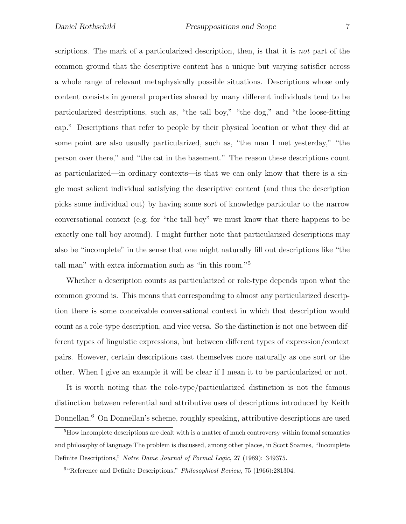scriptions. The mark of a particularized description, then, is that it is *not* part of the common ground that the descriptive content has a unique but varying satisfier across a whole range of relevant metaphysically possible situations. Descriptions whose only content consists in general properties shared by many different individuals tend to be particularized descriptions, such as, "the tall boy," "the dog," and "the loose-fitting cap." Descriptions that refer to people by their physical location or what they did at some point are also usually particularized, such as, "the man I met yesterday," "the person over there," and "the cat in the basement." The reason these descriptions count as particularized—in ordinary contexts—is that we can only know that there is a single most salient individual satisfying the descriptive content (and thus the description picks some individual out) by having some sort of knowledge particular to the narrow conversational context (e.g. for "the tall boy" we must know that there happens to be exactly one tall boy around). I might further note that particularized descriptions may also be "incomplete" in the sense that one might naturally fill out descriptions like "the tall man" with extra information such as "in this room."<sup>5</sup>

Whether a description counts as particularized or role-type depends upon what the common ground is. This means that corresponding to almost any particularized description there is some conceivable conversational context in which that description would count as a role-type description, and vice versa. So the distinction is not one between different types of linguistic expressions, but between different types of expression/context pairs. However, certain descriptions cast themselves more naturally as one sort or the other. When I give an example it will be clear if I mean it to be particularized or not.

It is worth noting that the role-type/particularized distinction is not the famous distinction between referential and attributive uses of descriptions introduced by Keith Donnellan.<sup>6</sup> On Donnellan's scheme, roughly speaking, attributive descriptions are used

<sup>5</sup>How incomplete descriptions are dealt with is a matter of much controversy within formal semantics and philosophy of language The problem is discussed, among other places, in Scott Soames, "Incomplete Definite Descriptions," Notre Dame Journal of Formal Logic, 27 (1989): 349375.

 $6$  "Reference and Definite Descriptions," *Philosophical Review*, 75 (1966):281304.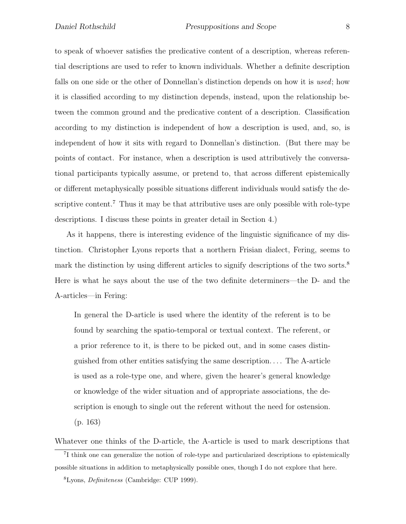to speak of whoever satisfies the predicative content of a description, whereas referential descriptions are used to refer to known individuals. Whether a definite description falls on one side or the other of Donnellan's distinction depends on how it is *used*; how it is classified according to my distinction depends, instead, upon the relationship between the common ground and the predicative content of a description. Classification according to my distinction is independent of how a description is used, and, so, is independent of how it sits with regard to Donnellan's distinction. (But there may be points of contact. For instance, when a description is used attributively the conversational participants typically assume, or pretend to, that across different epistemically or different metaphysically possible situations different individuals would satisfy the descriptive content.<sup>7</sup> Thus it may be that attributive uses are only possible with role-type descriptions. I discuss these points in greater detail in Section 4.)

As it happens, there is interesting evidence of the linguistic significance of my distinction. Christopher Lyons reports that a northern Frisian dialect, Fering, seems to mark the distinction by using different articles to signify descriptions of the two sorts.<sup>8</sup> Here is what he says about the use of the two definite determiners—the D- and the A-articles—in Fering:

In general the D-article is used where the identity of the referent is to be found by searching the spatio-temporal or textual context. The referent, or a prior reference to it, is there to be picked out, and in some cases distinguished from other entities satisfying the same description.... The A-article is used as a role-type one, and where, given the hearer's general knowledge or knowledge of the wider situation and of appropriate associations, the description is enough to single out the referent without the need for ostension. (p. 163)

Whatever one thinks of the D-article, the A-article is used to mark descriptions that

 ${}^{8}$ Lyons, *Definiteness* (Cambridge: CUP 1999).

<sup>&</sup>lt;sup>7</sup>I think one can generalize the notion of role-type and particularized descriptions to epistemically possible situations in addition to metaphysically possible ones, though I do not explore that here.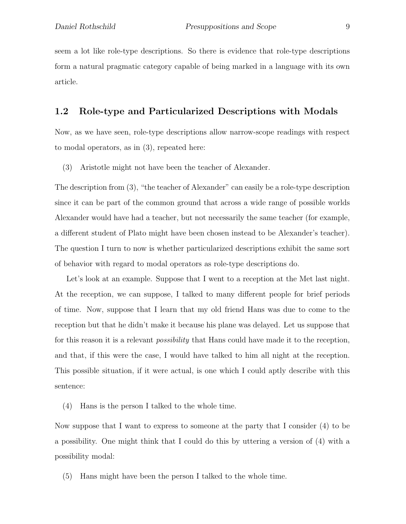seem a lot like role-type descriptions. So there is evidence that role-type descriptions form a natural pragmatic category capable of being marked in a language with its own article.

#### 1.2 Role-type and Particularized Descriptions with Modals

Now, as we have seen, role-type descriptions allow narrow-scope readings with respect to modal operators, as in (3), repeated here:

(3) Aristotle might not have been the teacher of Alexander.

The description from (3), "the teacher of Alexander" can easily be a role-type description since it can be part of the common ground that across a wide range of possible worlds Alexander would have had a teacher, but not necessarily the same teacher (for example, a different student of Plato might have been chosen instead to be Alexander's teacher). The question I turn to now is whether particularized descriptions exhibit the same sort of behavior with regard to modal operators as role-type descriptions do.

Let's look at an example. Suppose that I went to a reception at the Met last night. At the reception, we can suppose, I talked to many different people for brief periods of time. Now, suppose that I learn that my old friend Hans was due to come to the reception but that he didn't make it because his plane was delayed. Let us suppose that for this reason it is a relevant *possibility* that Hans could have made it to the reception, and that, if this were the case, I would have talked to him all night at the reception. This possible situation, if it were actual, is one which I could aptly describe with this sentence:

(4) Hans is the person I talked to the whole time.

Now suppose that I want to express to someone at the party that I consider (4) to be a possibility. One might think that I could do this by uttering a version of (4) with a possibility modal:

(5) Hans might have been the person I talked to the whole time.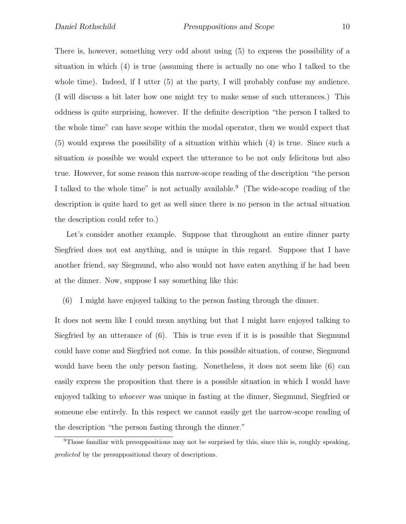There is, however, something very odd about using (5) to express the possibility of a situation in which (4) is true (assuming there is actually no one who I talked to the whole time). Indeed, if I utter (5) at the party, I will probably confuse my audience. (I will discuss a bit later how one might try to make sense of such utterances.) This oddness is quite surprising, however. If the definite description "the person I talked to the whole time" can have scope within the modal operator, then we would expect that (5) would express the possibility of a situation within which (4) is true. Since such a situation *is* possible we would expect the utterance to be not only felicitous but also true. However, for some reason this narrow-scope reading of the description "the person I talked to the whole time" is not actually available.<sup>9</sup> (The wide-scope reading of the description is quite hard to get as well since there is no person in the actual situation the description could refer to.)

Let's consider another example. Suppose that throughout an entire dinner party Siegfried does not eat anything, and is unique in this regard. Suppose that I have another friend, say Siegmund, who also would not have eaten anything if he had been at the dinner. Now, suppose I say something like this:

(6) I might have enjoyed talking to the person fasting through the dinner.

It does not seem like I could mean anything but that I might have enjoyed talking to Siegfried by an utterance of (6). This is true even if it is is possible that Siegmund could have come and Siegfried not come. In this possible situation, of course, Siegmund would have been the only person fasting. Nonetheless, it does not seem like (6) can easily express the proposition that there is a possible situation in which I would have enjoyed talking to *whoever* was unique in fasting at the dinner, Siegmund, Siegfried or someone else entirely. In this respect we cannot easily get the narrow-scope reading of the description "the person fasting through the dinner."

<sup>&</sup>lt;sup>9</sup>Those familiar with presuppositions may not be surprised by this, since this is, roughly speaking, predicted by the presuppositional theory of descriptions.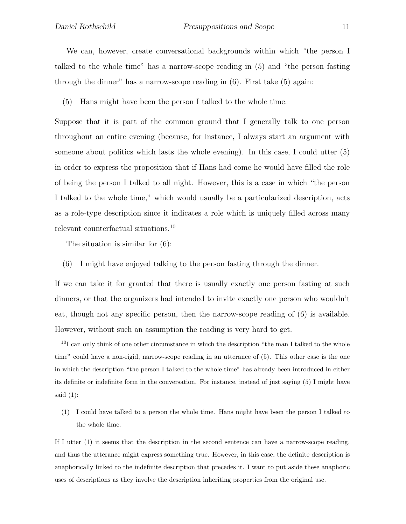We can, however, create conversational backgrounds within which "the person I talked to the whole time" has a narrow-scope reading in (5) and "the person fasting through the dinner" has a narrow-scope reading in (6). First take (5) again:

(5) Hans might have been the person I talked to the whole time.

Suppose that it is part of the common ground that I generally talk to one person throughout an entire evening (because, for instance, I always start an argument with someone about politics which lasts the whole evening). In this case, I could utter (5) in order to express the proposition that if Hans had come he would have filled the role of being the person I talked to all night. However, this is a case in which "the person I talked to the whole time," which would usually be a particularized description, acts as a role-type description since it indicates a role which is uniquely filled across many relevant counterfactual situations.<sup>10</sup>

The situation is similar for (6):

(6) I might have enjoyed talking to the person fasting through the dinner.

If we can take it for granted that there is usually exactly one person fasting at such dinners, or that the organizers had intended to invite exactly one person who wouldn't eat, though not any specific person, then the narrow-scope reading of (6) is available. However, without such an assumption the reading is very hard to get.

(1) I could have talked to a person the whole time. Hans might have been the person I talked to the whole time.

If I utter (1) it seems that the description in the second sentence can have a narrow-scope reading, and thus the utterance might express something true. However, in this case, the definite description is anaphorically linked to the indefinite description that precedes it. I want to put aside these anaphoric uses of descriptions as they involve the description inheriting properties from the original use.

<sup>&</sup>lt;sup>10</sup>I can only think of one other circumstance in which the description "the man I talked to the whole time" could have a non-rigid, narrow-scope reading in an utterance of (5). This other case is the one in which the description "the person I talked to the whole time" has already been introduced in either its definite or indefinite form in the conversation. For instance, instead of just saying (5) I might have said  $(1)$ :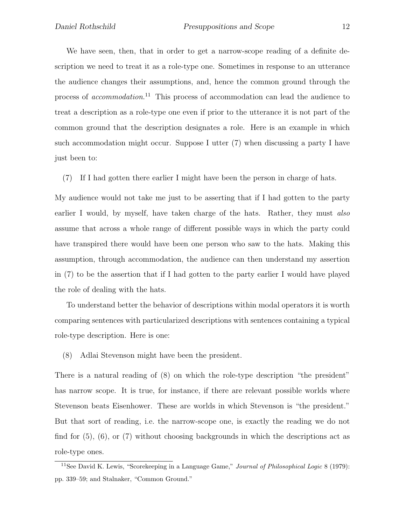We have seen, then, that in order to get a narrow-scope reading of a definite description we need to treat it as a role-type one. Sometimes in response to an utterance the audience changes their assumptions, and, hence the common ground through the process of *accommodation*. <sup>11</sup> This process of accommodation can lead the audience to treat a description as a role-type one even if prior to the utterance it is not part of the common ground that the description designates a role. Here is an example in which such accommodation might occur. Suppose I utter (7) when discussing a party I have just been to:

(7) If I had gotten there earlier I might have been the person in charge of hats.

My audience would not take me just to be asserting that if I had gotten to the party earlier I would, by myself, have taken charge of the hats. Rather, they must *also* assume that across a whole range of different possible ways in which the party could have transpired there would have been one person who saw to the hats. Making this assumption, through accommodation, the audience can then understand my assertion in (7) to be the assertion that if I had gotten to the party earlier I would have played the role of dealing with the hats.

To understand better the behavior of descriptions within modal operators it is worth comparing sentences with particularized descriptions with sentences containing a typical role-type description. Here is one:

(8) Adlai Stevenson might have been the president.

There is a natural reading of (8) on which the role-type description "the president" has narrow scope. It is true, for instance, if there are relevant possible worlds where Stevenson beats Eisenhower. These are worlds in which Stevenson is "the president." But that sort of reading, i.e. the narrow-scope one, is exactly the reading we do not find for  $(5)$ ,  $(6)$ , or  $(7)$  without choosing backgrounds in which the descriptions act as role-type ones.

<sup>&</sup>lt;sup>11</sup>See David K. Lewis, "Scorekeeping in a Language Game," *Journal of Philosophical Logic* 8 (1979): pp. 339–59; and Stalnaker, "Common Ground."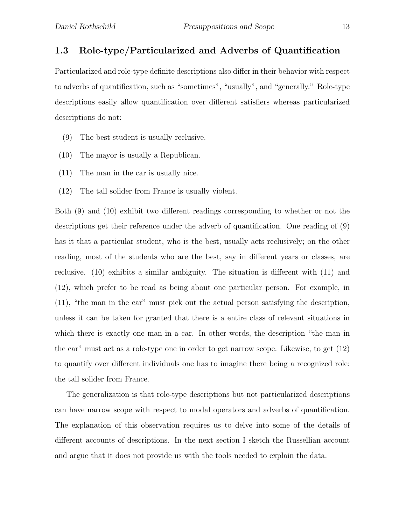### 1.3 Role-type/Particularized and Adverbs of Quantification

Particularized and role-type definite descriptions also differ in their behavior with respect to adverbs of quantification, such as "sometimes", "usually", and "generally." Role-type descriptions easily allow quantification over different satisfiers whereas particularized descriptions do not:

- (9) The best student is usually reclusive.
- (10) The mayor is usually a Republican.
- (11) The man in the car is usually nice.
- (12) The tall solider from France is usually violent.

Both (9) and (10) exhibit two different readings corresponding to whether or not the descriptions get their reference under the adverb of quantification. One reading of (9) has it that a particular student, who is the best, usually acts reclusively; on the other reading, most of the students who are the best, say in different years or classes, are reclusive. (10) exhibits a similar ambiguity. The situation is different with (11) and (12), which prefer to be read as being about one particular person. For example, in (11), "the man in the car" must pick out the actual person satisfying the description, unless it can be taken for granted that there is a entire class of relevant situations in which there is exactly one man in a car. In other words, the description "the man in the car" must act as a role-type one in order to get narrow scope. Likewise, to get (12) to quantify over different individuals one has to imagine there being a recognized role: the tall solider from France.

The generalization is that role-type descriptions but not particularized descriptions can have narrow scope with respect to modal operators and adverbs of quantification. The explanation of this observation requires us to delve into some of the details of different accounts of descriptions. In the next section I sketch the Russellian account and argue that it does not provide us with the tools needed to explain the data.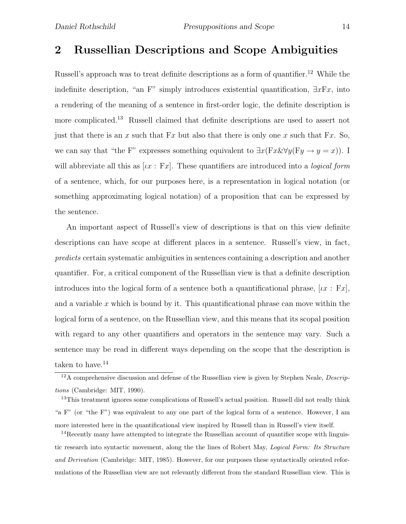## 2 Russellian Descriptions and Scope Ambiguities

Russell's approach was to treat definite descriptions as a form of quantifier.<sup>12</sup> While the indefinite description, "an F" simply introduces existential quantification,  $\exists x \mathbb{F} x$ , into a rendering of the meaning of a sentence in first-order logic, the definite description is more complicated.<sup>13</sup> Russell claimed that definite descriptions are used to assert not just that there is an x such that  $Fx$  but also that there is only one x such that  $Fx$ . So, we can say that "the F" expresses something equivalent to  $\exists x(Fx \& \forall y(Fy \rightarrow y = x))$ . I will abbreviate all this as  $\lbrack \iota x : Fx \rbrack$ . These quantifiers are introduced into a *logical form* of a sentence, which, for our purposes here, is a representation in logical notation (or something approximating logical notation) of a proposition that can be expressed by the sentence.

An important aspect of Russell's view of descriptions is that on this view definite descriptions can have scope at different places in a sentence. Russell's view, in fact, *predicts* certain systematic ambiguities in sentences containing a description and another quantifier. For, a critical component of the Russellian view is that a definite description introduces into the logical form of a sentence both a quantificational phrase,  $[i\,x : F\,x]$ , and a variable  $x$  which is bound by it. This quantificational phrase can move within the logical form of a sentence, on the Russellian view, and this means that its scopal position with regard to any other quantifiers and operators in the sentence may vary. Such a sentence may be read in different ways depending on the scope that the description is taken to have. $^{14}$ 

<sup>&</sup>lt;sup>12</sup>A comprehensive discussion and defense of the Russellian view is given by Stephen Neale, *Descrip*tions (Cambridge: MIT, 1990).

<sup>&</sup>lt;sup>13</sup>This treatment ignores some complications of Russell's actual position. Russell did not really think "a F" (or "the F") was equivalent to any one part of the logical form of a sentence. However, I am more interested here in the quantificational view inspired by Russell than in Russell's view itself.

<sup>&</sup>lt;sup>14</sup>Recently many have attempted to integrate the Russellian account of quantifier scope with linguistic research into syntactic movement, along the the lines of Robert May, Logical Form: Its Structure and Derivation (Cambridge: MIT, 1985). However, for our purposes these syntactically oriented reformulations of the Russellian view are not relevantly different from the standard Russellian view. This is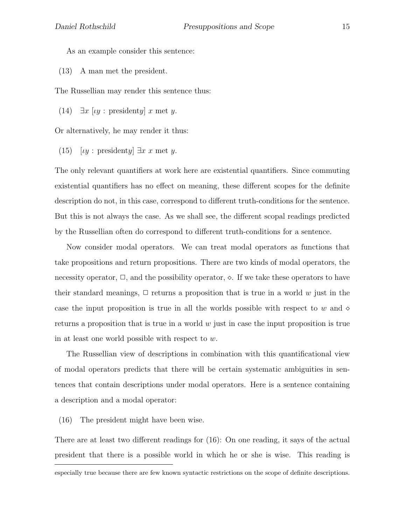As an example consider this sentence:

(13) A man met the president.

The Russellian may render this sentence thus:

(14)  $\exists x \, [uy : \text{presidentally } x \text{ met } y].$ 

Or alternatively, he may render it thus:

(15)  $\lbrack \nu \rbrack$ : presidenty]  $\exists x \; x$  met y.

The only relevant quantifiers at work here are existential quantifiers. Since commuting existential quantifiers has no effect on meaning, these different scopes for the definite description do not, in this case, correspond to different truth-conditions for the sentence. But this is not always the case. As we shall see, the different scopal readings predicted by the Russellian often do correspond to different truth-conditions for a sentence.

Now consider modal operators. We can treat modal operators as functions that take propositions and return propositions. There are two kinds of modal operators, the necessity operator,  $\Box$ , and the possibility operator,  $\diamond$ . If we take these operators to have their standard meanings,  $\Box$  returns a proposition that is true in a world w just in the case the input proposition is true in all the worlds possible with respect to w and  $\diamond$ returns a proposition that is true in a world  $w$  just in case the input proposition is true in at least one world possible with respect to w.

The Russellian view of descriptions in combination with this quantificational view of modal operators predicts that there will be certain systematic ambiguities in sentences that contain descriptions under modal operators. Here is a sentence containing a description and a modal operator:

(16) The president might have been wise.

There are at least two different readings for (16): On one reading, it says of the actual president that there is a possible world in which he or she is wise. This reading is

especially true because there are few known syntactic restrictions on the scope of definite descriptions.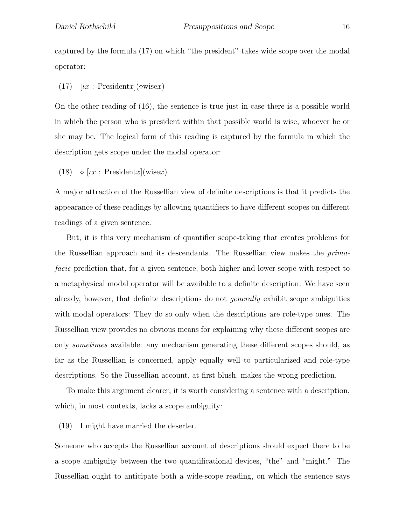captured by the formula (17) on which "the president" takes wide scope over the modal operator:

(17)  $[\iota x : \text{President}x](\diamond \text{wise}x)$ 

On the other reading of (16), the sentence is true just in case there is a possible world in which the person who is president within that possible world is wise, whoever he or she may be. The logical form of this reading is captured by the formula in which the description gets scope under the modal operator:

(18)  $\Diamond$  [ix : Presidentx](wisex)

A major attraction of the Russellian view of definite descriptions is that it predicts the appearance of these readings by allowing quantifiers to have different scopes on different readings of a given sentence.

But, it is this very mechanism of quantifier scope-taking that creates problems for the Russellian approach and its descendants. The Russellian view makes the *primafacie* prediction that, for a given sentence, both higher and lower scope with respect to a metaphysical modal operator will be available to a definite description. We have seen already, however, that definite descriptions do not *generally* exhibit scope ambiguities with modal operators: They do so only when the descriptions are role-type ones. The Russellian view provides no obvious means for explaining why these different scopes are only *sometimes* available: any mechanism generating these different scopes should, as far as the Russellian is concerned, apply equally well to particularized and role-type descriptions. So the Russellian account, at first blush, makes the wrong prediction.

To make this argument clearer, it is worth considering a sentence with a description, which, in most contexts, lacks a scope ambiguity:

(19) I might have married the deserter.

Someone who accepts the Russellian account of descriptions should expect there to be a scope ambiguity between the two quantificational devices, "the" and "might." The Russellian ought to anticipate both a wide-scope reading, on which the sentence says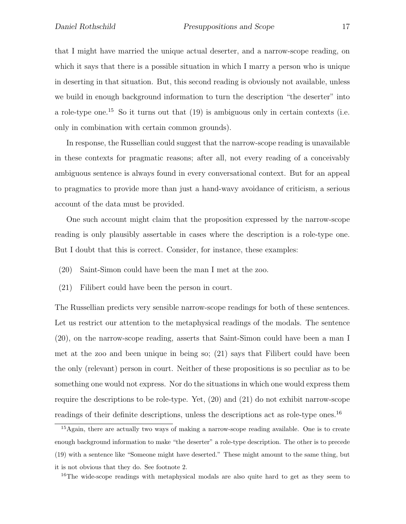that I might have married the unique actual deserter, and a narrow-scope reading, on which it says that there is a possible situation in which I marry a person who is unique in deserting in that situation. But, this second reading is obviously not available, unless we build in enough background information to turn the description "the deserter" into a role-type one.<sup>15</sup> So it turns out that  $(19)$  is ambiguous only in certain contexts (i.e. only in combination with certain common grounds).

In response, the Russellian could suggest that the narrow-scope reading is unavailable in these contexts for pragmatic reasons; after all, not every reading of a conceivably ambiguous sentence is always found in every conversational context. But for an appeal to pragmatics to provide more than just a hand-wavy avoidance of criticism, a serious account of the data must be provided.

One such account might claim that the proposition expressed by the narrow-scope reading is only plausibly assertable in cases where the description is a role-type one. But I doubt that this is correct. Consider, for instance, these examples:

- (20) Saint-Simon could have been the man I met at the zoo.
- (21) Filibert could have been the person in court.

The Russellian predicts very sensible narrow-scope readings for both of these sentences. Let us restrict our attention to the metaphysical readings of the modals. The sentence (20), on the narrow-scope reading, asserts that Saint-Simon could have been a man I met at the zoo and been unique in being so; (21) says that Filibert could have been the only (relevant) person in court. Neither of these propositions is so peculiar as to be something one would not express. Nor do the situations in which one would express them require the descriptions to be role-type. Yet, (20) and (21) do not exhibit narrow-scope readings of their definite descriptions, unless the descriptions act as role-type ones.<sup>16</sup>

<sup>&</sup>lt;sup>15</sup>Again, there are actually two ways of making a narrow-scope reading available. One is to create enough background information to make "the deserter" a role-type description. The other is to precede (19) with a sentence like "Someone might have deserted." These might amount to the same thing, but it is not obvious that they do. See footnote 2.

<sup>&</sup>lt;sup>16</sup>The wide-scope readings with metaphysical modals are also quite hard to get as they seem to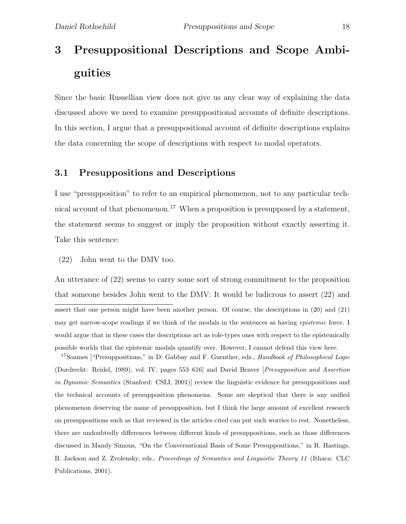# 3 Presuppositional Descriptions and Scope Ambiguities

Since the basic Russellian view does not give us any clear way of explaining the data discussed above we need to examine presuppositional accounts of definite descriptions. In this section, I argue that a presuppositional account of definite descriptions explains the data concerning the scope of descriptions with respect to modal operators.

#### 3.1 Presuppositions and Descriptions

I use "presupposition" to refer to an empirical phenomenon, not to any particular technical account of that phenomenon.<sup>17</sup> When a proposition is presupposed by a statement, the statement seems to suggest or imply the proposition without exactly asserting it. Take this sentence:

(22) John went to the DMV too.

An utterance of (22) seems to carry some sort of strong commitment to the proposition that someone besides John went to the DMV: It would be ludicrous to assert (22) and assert that one person might have been another person. Of course, the descriptions in (20) and (21) may get narrow-scope readings if we think of the modals in the sentences as having *epistemic* force. I would argue that in these cases the descriptions act as role-types ones with respect to the epistemically possible worlds that the epistemic modals quantify over. However, I cannot defend this view here.

<sup>17</sup>Soames ["Presuppositions," in D. Gabbay and F. Guenther, eds., *Handbook of Philosophical Logic* (Dordrecht: Reidel, 1989), vol. IV, pages 553–616] and David Beaver [Presupposition and Assertion in Dynamic Semantics (Stanford: CSLI, 2001)] review the linguistic evidence for presuppositions and the technical accounts of presupposition phenomena. Some are skeptical that there is any unified phenomenon deserving the name of presupposition, but I think the large amount of excellent research on presuppositions such as that reviewed in the articles cited can put such worries to rest. Nonetheless, there are undoubtedly differences between different kinds of presuppositions, such as those differences discussed in Mandy Simons, "On the Conversational Basis of Some Presuppositions," in R. Hastings, B. Jackson and Z. Zvolensky, eds., Proceedings of Semantics and Linguistic Theory 11 (Ithaca: CLC Publications, 2001).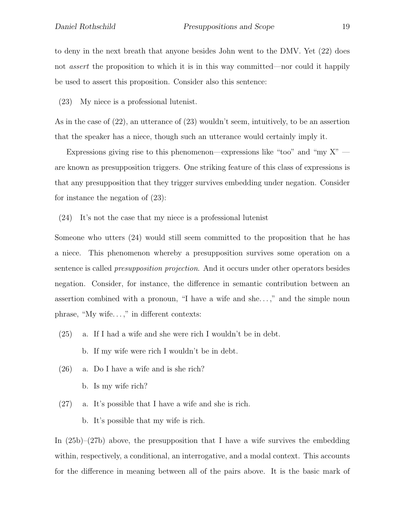to deny in the next breath that anyone besides John went to the DMV. Yet (22) does not *assert* the proposition to which it is in this way committed—nor could it happily be used to assert this proposition. Consider also this sentence:

(23) My niece is a professional lutenist.

As in the case of (22), an utterance of (23) wouldn't seem, intuitively, to be an assertion that the speaker has a niece, though such an utterance would certainly imply it.

Expressions giving rise to this phenomenon—expressions like "too" and "my  $X"$  are known as presupposition triggers. One striking feature of this class of expressions is that any presupposition that they trigger survives embedding under negation. Consider for instance the negation of (23):

(24) It's not the case that my niece is a professional lutenist

Someone who utters (24) would still seem committed to the proposition that he has a niece. This phenomenon whereby a presupposition survives some operation on a sentence is called *presupposition projection*. And it occurs under other operators besides negation. Consider, for instance, the difference in semantic contribution between an assertion combined with a pronoun, "I have a wife and she. . . ," and the simple noun phrase, "My wife. . . ," in different contexts:

- (25) a. If I had a wife and she were rich I wouldn't be in debt.
	- b. If my wife were rich I wouldn't be in debt.
- (26) a. Do I have a wife and is she rich?
	- b. Is my wife rich?
- (27) a. It's possible that I have a wife and she is rich.

b. It's possible that my wife is rich.

In  $(25b)-(27b)$  above, the presupposition that I have a wife survives the embedding within, respectively, a conditional, an interrogative, and a modal context. This accounts for the difference in meaning between all of the pairs above. It is the basic mark of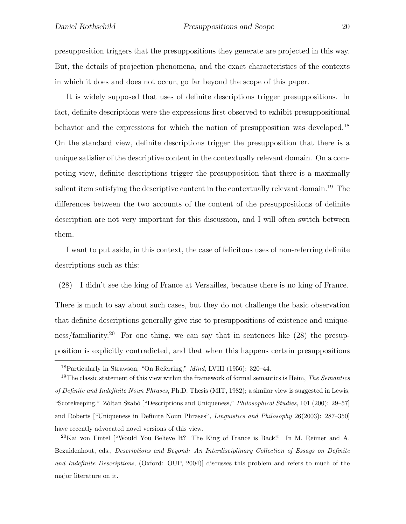presupposition triggers that the presuppositions they generate are projected in this way. But, the details of projection phenomena, and the exact characteristics of the contexts in which it does and does not occur, go far beyond the scope of this paper.

It is widely supposed that uses of definite descriptions trigger presuppositions. In fact, definite descriptions were the expressions first observed to exhibit presuppositional behavior and the expressions for which the notion of presupposition was developed.<sup>18</sup> On the standard view, definite descriptions trigger the presupposition that there is a unique satisfier of the descriptive content in the contextually relevant domain. On a competing view, definite descriptions trigger the presupposition that there is a maximally salient item satisfying the descriptive content in the contextually relevant domain.<sup>19</sup> The differences between the two accounts of the content of the presuppositions of definite description are not very important for this discussion, and I will often switch between them.

I want to put aside, in this context, the case of felicitous uses of non-referring definite descriptions such as this:

(28) I didn't see the king of France at Versailles, because there is no king of France.

There is much to say about such cases, but they do not challenge the basic observation that definite descriptions generally give rise to presuppositions of existence and uniqueness/familiarity.<sup>20</sup> For one thing, we can say that in sentences like  $(28)$  the presupposition is explicitly contradicted, and that when this happens certain presuppositions

<sup>20</sup>Kai von Fintel ["Would You Believe It? The King of France is Back!" In M. Reimer and A. Bezuidenhout, eds., Descriptions and Beyond: An Interdisciplinary Collection of Essays on Definite and Indefinite Descriptions, (Oxford: OUP, 2004)] discusses this problem and refers to much of the major literature on it.

<sup>&</sup>lt;sup>18</sup>Particularly in Strawson, "On Referring," *Mind*, LVIII (1956): 320–44.

<sup>&</sup>lt;sup>19</sup>The classic statement of this view within the framework of formal semantics is Heim, *The Semantics* of Definite and Indefinite Noun Phrases, Ph.D. Thesis (MIT, 1982); a similar view is suggested in Lewis, "Scorekeeping." Zóltan Szabó ["Descriptions and Uniqueness," Philosophical Studies, 101 (200): 29–57] and Roberts ["Uniqueness in Definite Noun Phrases", Linguistics and Philosophy 26(2003): 287–350] have recently advocated novel versions of this view.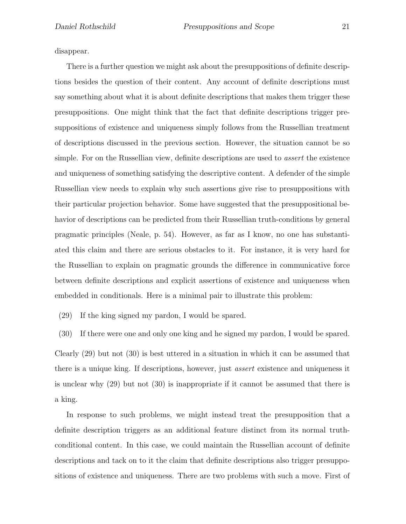disappear.

There is a further question we might ask about the presuppositions of definite descriptions besides the question of their content. Any account of definite descriptions must say something about what it is about definite descriptions that makes them trigger these presuppositions. One might think that the fact that definite descriptions trigger presuppositions of existence and uniqueness simply follows from the Russellian treatment of descriptions discussed in the previous section. However, the situation cannot be so simple. For on the Russellian view, definite descriptions are used to *assert* the existence and uniqueness of something satisfying the descriptive content. A defender of the simple Russellian view needs to explain why such assertions give rise to presuppositions with their particular projection behavior. Some have suggested that the presuppositional behavior of descriptions can be predicted from their Russellian truth-conditions by general pragmatic principles (Neale, p. 54). However, as far as I know, no one has substantiated this claim and there are serious obstacles to it. For instance, it is very hard for the Russellian to explain on pragmatic grounds the difference in communicative force between definite descriptions and explicit assertions of existence and uniqueness when embedded in conditionals. Here is a minimal pair to illustrate this problem:

(29) If the king signed my pardon, I would be spared.

(30) If there were one and only one king and he signed my pardon, I would be spared.

Clearly (29) but not (30) is best uttered in a situation in which it can be assumed that there is a unique king. If descriptions, however, just *assert* existence and uniqueness it is unclear why (29) but not (30) is inappropriate if it cannot be assumed that there is a king.

In response to such problems, we might instead treat the presupposition that a definite description triggers as an additional feature distinct from its normal truthconditional content. In this case, we could maintain the Russellian account of definite descriptions and tack on to it the claim that definite descriptions also trigger presuppositions of existence and uniqueness. There are two problems with such a move. First of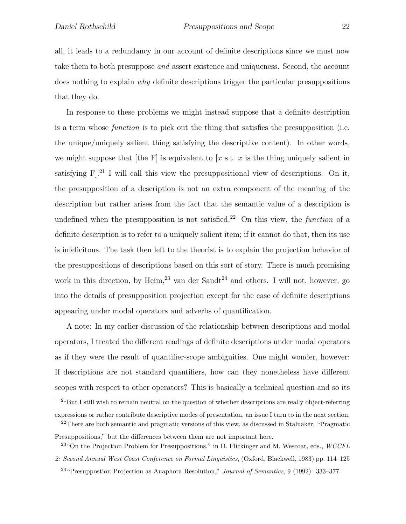all, it leads to a redundancy in our account of definite descriptions since we must now take them to both presuppose *and* assert existence and uniqueness. Second, the account does nothing to explain *why* definite descriptions trigger the particular presuppositions that they do.

In response to these problems we might instead suppose that a definite description is a term whose *function* is to pick out the thing that satisfies the presupposition (i.e. the unique/uniquely salient thing satisfying the descriptive content). In other words, we might suppose that [the F] is equivalent to [x s.t. x is the thing uniquely salient in satisfying  $F^{21}$  I will call this view the presuppositional view of descriptions. On it, the presupposition of a description is not an extra component of the meaning of the description but rather arises from the fact that the semantic value of a description is undefined when the presupposition is not satisfied.<sup>22</sup> On this view, the *function* of a definite description is to refer to a uniquely salient item; if it cannot do that, then its use is infelicitous. The task then left to the theorist is to explain the projection behavior of the presuppositions of descriptions based on this sort of story. There is much promising work in this direction, by Heim, $^{23}$  van der Sandt<sup>24</sup> and others. I will not, however, go into the details of presupposition projection except for the case of definite descriptions appearing under modal operators and adverbs of quantification.

A note: In my earlier discussion of the relationship between descriptions and modal operators, I treated the different readings of definite descriptions under modal operators as if they were the result of quantifier-scope ambiguities. One might wonder, however: If descriptions are not standard quantifiers, how can they nonetheless have different scopes with respect to other operators? This is basically a technical question and so its

<sup>&</sup>lt;sup>21</sup>But I still wish to remain neutral on the question of whether descriptions are really object-referring expressions or rather contribute descriptive modes of presentation, an issue I turn to in the next section.

 $22$ There are both semantic and pragmatic versions of this view, as discussed in Stalnaker, "Pragmatic" Presuppositions," but the differences between them are not important here.

 $^{23}$  "On the Projection Problem for Presuppositions," in D. Flickinger and M. Wescoat, eds., WCCFL 2: Second Annual West Coast Conference on Formal Linguistics, (Oxford, Blackwell, 1983) pp. 114–125

 $^{24}$  "Presuppostion Projection as Anaphora Resolution," Journal of Semantics, 9 (1992): 333-377.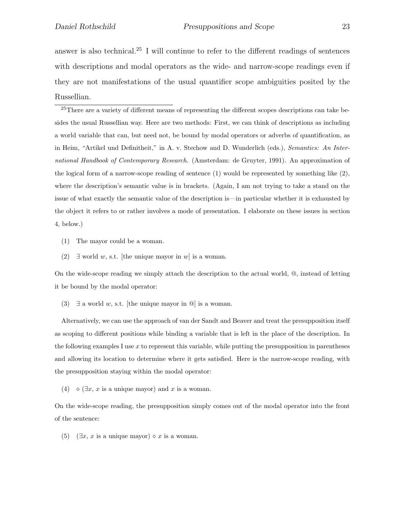answer is also technical.<sup>25</sup> I will continue to refer to the different readings of sentences with descriptions and modal operators as the wide- and narrow-scope readings even if they are not manifestations of the usual quantifier scope ambiguities posited by the Russellian.

25There are a variety of different means of representing the different scopes descriptions can take besides the usual Russellian way. Here are two methods: First, we can think of descriptions as including a world variable that can, but need not, be bound by modal operators or adverbs of quantification, as in Heim, "Artikel und Definitheit," in A. v. Stechow and D. Wunderlich (eds.), Semantics: An International Handbook of Contemporary Research. (Amsterdam: de Gruyter, 1991). An approximation of the logical form of a narrow-scope reading of sentence (1) would be represented by something like (2), where the description's semantic value is in brackets. (Again, I am not trying to take a stand on the issue of what exactly the semantic value of the description is—in particular whether it is exhausted by the object it refers to or rather involves a mode of presentation. I elaborate on these issues in section 4, below.)

- (1) The mayor could be a woman.
- (2)  $\exists$  world *w*, s.t. [the unique mayor in *w*] is a woman.

On the wide-scope reading we simply attach the description to the actual world, @, instead of letting it be bound by the modal operator:

(3)  $\exists$  a world *w*, s.t. [the unique mayor in  $\textcircled{a}$ ] is a woman.

Alternatively, we can use the approach of van der Sandt and Beaver and treat the presupposition itself as scoping to different positions while binding a variable that is left in the place of the description. In the following examples I use *x* to represent this variable, while putting the presupposition in parentheses and allowing its location to determine where it gets satisfied. Here is the narrow-scope reading, with the presupposition staying within the modal operator:

(4)  $\Diamond$  ( $\exists x, x$  is a unique mayor) and *x* is a woman.

On the wide-scope reading, the presupposition simply comes out of the modal operator into the front of the sentence:

(5)  $(\exists x, x \text{ is a unique mayor}) \diamond x \text{ is a woman.}$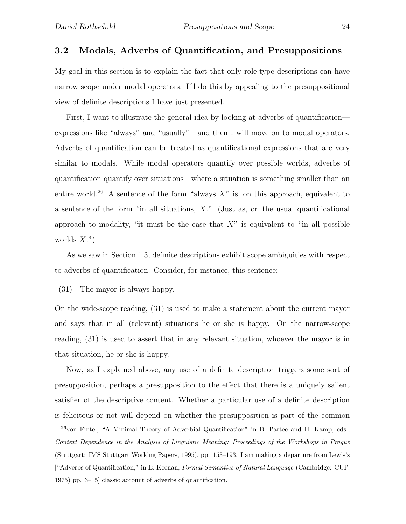#### 3.2 Modals, Adverbs of Quantification, and Presuppositions

My goal in this section is to explain the fact that only role-type descriptions can have narrow scope under modal operators. I'll do this by appealing to the presuppositional view of definite descriptions I have just presented.

First, I want to illustrate the general idea by looking at adverbs of quantification expressions like "always" and "usually"—and then I will move on to modal operators. Adverbs of quantification can be treated as quantificational expressions that are very similar to modals. While modal operators quantify over possible worlds, adverbs of quantification quantify over situations—where a situation is something smaller than an entire world.<sup>26</sup> A sentence of the form "always  $X$ " is, on this approach, equivalent to a sentence of the form "in all situations,  $X$ ." (Just as, on the usual quantificational approach to modality, "it must be the case that  $X$ " is equivalent to "in all possible worlds  $X$ .")

As we saw in Section 1.3, definite descriptions exhibit scope ambiguities with respect to adverbs of quantification. Consider, for instance, this sentence:

(31) The mayor is always happy.

On the wide-scope reading, (31) is used to make a statement about the current mayor and says that in all (relevant) situations he or she is happy. On the narrow-scope reading, (31) is used to assert that in any relevant situation, whoever the mayor is in that situation, he or she is happy.

Now, as I explained above, any use of a definite description triggers some sort of presupposition, perhaps a presupposition to the effect that there is a uniquely salient satisfier of the descriptive content. Whether a particular use of a definite description is felicitous or not will depend on whether the presupposition is part of the common

<sup>&</sup>lt;sup>26</sup>von Fintel, "A Minimal Theory of Adverbial Quantification" in B. Partee and H. Kamp, eds., Context Dependence in the Analysis of Linguistic Meaning: Proceedings of the Workshops in Prague (Stuttgart: IMS Stuttgart Working Papers, 1995), pp. 153–193. I am making a departure from Lewis's ["Adverbs of Quantification," in E. Keenan, Formal Semantics of Natural Language (Cambridge: CUP, 1975) pp. 3–15] classic account of adverbs of quantification.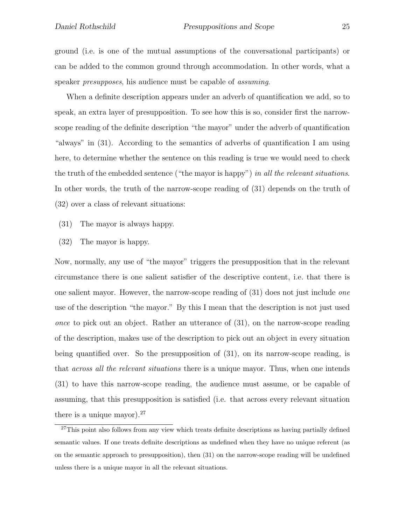ground (i.e. is one of the mutual assumptions of the conversational participants) or can be added to the common ground through accommodation. In other words, what a speaker *presupposes*, his audience must be capable of *assuming*.

When a definite description appears under an adverb of quantification we add, so to speak, an extra layer of presupposition. To see how this is so, consider first the narrowscope reading of the definite description "the mayor" under the adverb of quantification "always" in (31). According to the semantics of adverbs of quantification I am using here, to determine whether the sentence on this reading is true we would need to check the truth of the embedded sentence ("the mayor is happy") *in all the relevant situations*. In other words, the truth of the narrow-scope reading of (31) depends on the truth of (32) over a class of relevant situations:

- (31) The mayor is always happy.
- (32) The mayor is happy.

Now, normally, any use of "the mayor" triggers the presupposition that in the relevant circumstance there is one salient satisfier of the descriptive content, i.e. that there is one salient mayor. However, the narrow-scope reading of (31) does not just include *one* use of the description "the mayor." By this I mean that the description is not just used *once* to pick out an object. Rather an utterance of (31), on the narrow-scope reading of the description, makes use of the description to pick out an object in every situation being quantified over. So the presupposition of (31), on its narrow-scope reading, is that *across all the relevant situations* there is a unique mayor. Thus, when one intends (31) to have this narrow-scope reading, the audience must assume, or be capable of assuming, that this presupposition is satisfied (i.e. that across every relevant situation there is a unique mayor).  $27$ 

 $27$ This point also follows from any view which treats definite descriptions as having partially defined semantic values. If one treats definite descriptions as undefined when they have no unique referent (as on the semantic approach to presupposition), then (31) on the narrow-scope reading will be undefined unless there is a unique mayor in all the relevant situations.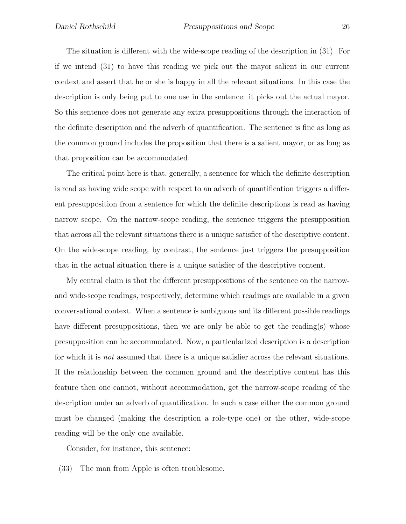The situation is different with the wide-scope reading of the description in (31). For if we intend (31) to have this reading we pick out the mayor salient in our current context and assert that he or she is happy in all the relevant situations. In this case the description is only being put to one use in the sentence: it picks out the actual mayor. So this sentence does not generate any extra presuppositions through the interaction of the definite description and the adverb of quantification. The sentence is fine as long as the common ground includes the proposition that there is a salient mayor, or as long as that proposition can be accommodated.

The critical point here is that, generally, a sentence for which the definite description is read as having wide scope with respect to an adverb of quantification triggers a different presupposition from a sentence for which the definite descriptions is read as having narrow scope. On the narrow-scope reading, the sentence triggers the presupposition that across all the relevant situations there is a unique satisfier of the descriptive content. On the wide-scope reading, by contrast, the sentence just triggers the presupposition that in the actual situation there is a unique satisfier of the descriptive content.

My central claim is that the different presuppositions of the sentence on the narrowand wide-scope readings, respectively, determine which readings are available in a given conversational context. When a sentence is ambiguous and its different possible readings have different presuppositions, then we are only be able to get the reading(s) whose presupposition can be accommodated. Now, a particularized description is a description for which it is *not* assumed that there is a unique satisfier across the relevant situations. If the relationship between the common ground and the descriptive content has this feature then one cannot, without accommodation, get the narrow-scope reading of the description under an adverb of quantification. In such a case either the common ground must be changed (making the description a role-type one) or the other, wide-scope reading will be the only one available.

Consider, for instance, this sentence:

(33) The man from Apple is often troublesome.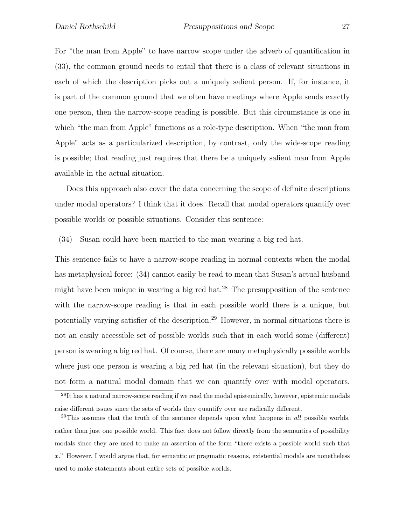For "the man from Apple" to have narrow scope under the adverb of quantification in (33), the common ground needs to entail that there is a class of relevant situations in each of which the description picks out a uniquely salient person. If, for instance, it is part of the common ground that we often have meetings where Apple sends exactly one person, then the narrow-scope reading is possible. But this circumstance is one in which "the man from Apple" functions as a role-type description. When "the man from Apple" acts as a particularized description, by contrast, only the wide-scope reading is possible; that reading just requires that there be a uniquely salient man from Apple available in the actual situation.

Does this approach also cover the data concerning the scope of definite descriptions under modal operators? I think that it does. Recall that modal operators quantify over possible worlds or possible situations. Consider this sentence:

(34) Susan could have been married to the man wearing a big red hat.

This sentence fails to have a narrow-scope reading in normal contexts when the modal has metaphysical force: (34) cannot easily be read to mean that Susan's actual husband might have been unique in wearing a big red hat.<sup>28</sup> The presupposition of the sentence with the narrow-scope reading is that in each possible world there is a unique, but potentially varying satisfier of the description.<sup>29</sup> However, in normal situations there is not an easily accessible set of possible worlds such that in each world some (different) person is wearing a big red hat. Of course, there are many metaphysically possible worlds where just one person is wearing a big red hat (in the relevant situation), but they do not form a natural modal domain that we can quantify over with modal operators.

<sup>&</sup>lt;sup>28</sup>It has a natural narrow-scope reading if we read the modal epistemically, however, epistemic modals raise different issues since the sets of worlds they quantify over are radically different.

 $^{29}$ This assumes that the truth of the sentence depends upon what happens in *all* possible worlds, rather than just one possible world. This fact does not follow directly from the semantics of possibility modals since they are used to make an assertion of the form "there exists a possible world such that *x*." However, I would argue that, for semantic or pragmatic reasons, existential modals are nonetheless used to make statements about entire sets of possible worlds.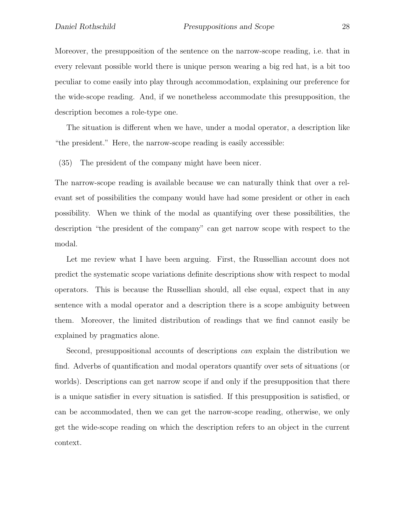Moreover, the presupposition of the sentence on the narrow-scope reading, i.e. that in every relevant possible world there is unique person wearing a big red hat, is a bit too peculiar to come easily into play through accommodation, explaining our preference for the wide-scope reading. And, if we nonetheless accommodate this presupposition, the description becomes a role-type one.

The situation is different when we have, under a modal operator, a description like "the president." Here, the narrow-scope reading is easily accessible:

(35) The president of the company might have been nicer.

The narrow-scope reading is available because we can naturally think that over a relevant set of possibilities the company would have had some president or other in each possibility. When we think of the modal as quantifying over these possibilities, the description "the president of the company" can get narrow scope with respect to the modal.

Let me review what I have been arguing. First, the Russellian account does not predict the systematic scope variations definite descriptions show with respect to modal operators. This is because the Russellian should, all else equal, expect that in any sentence with a modal operator and a description there is a scope ambiguity between them. Moreover, the limited distribution of readings that we find cannot easily be explained by pragmatics alone.

Second, presuppositional accounts of descriptions *can* explain the distribution we find. Adverbs of quantification and modal operators quantify over sets of situations (or worlds). Descriptions can get narrow scope if and only if the presupposition that there is a unique satisfier in every situation is satisfied. If this presupposition is satisfied, or can be accommodated, then we can get the narrow-scope reading, otherwise, we only get the wide-scope reading on which the description refers to an object in the current context.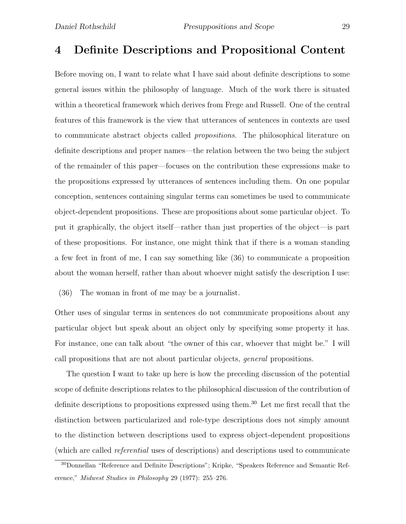## 4 Definite Descriptions and Propositional Content

Before moving on, I want to relate what I have said about definite descriptions to some general issues within the philosophy of language. Much of the work there is situated within a theoretical framework which derives from Frege and Russell. One of the central features of this framework is the view that utterances of sentences in contexts are used to communicate abstract objects called *propositions*. The philosophical literature on definite descriptions and proper names—the relation between the two being the subject of the remainder of this paper—focuses on the contribution these expressions make to the propositions expressed by utterances of sentences including them. On one popular conception, sentences containing singular terms can sometimes be used to communicate object-dependent propositions. These are propositions about some particular object. To put it graphically, the object itself—rather than just properties of the object—is part of these propositions. For instance, one might think that if there is a woman standing a few feet in front of me, I can say something like (36) to communicate a proposition about the woman herself, rather than about whoever might satisfy the description I use:

(36) The woman in front of me may be a journalist.

Other uses of singular terms in sentences do not communicate propositions about any particular object but speak about an object only by specifying some property it has. For instance, one can talk about "the owner of this car, whoever that might be." I will call propositions that are not about particular objects, *general* propositions.

The question I want to take up here is how the preceding discussion of the potential scope of definite descriptions relates to the philosophical discussion of the contribution of definite descriptions to propositions expressed using them.<sup>30</sup> Let me first recall that the distinction between particularized and role-type descriptions does not simply amount to the distinction between descriptions used to express object-dependent propositions (which are called *referential* uses of descriptions) and descriptions used to communicate

<sup>30</sup>Donnellan "Reference and Definite Descriptions"; Kripke, "Speakers Reference and Semantic Reference," Midwest Studies in Philosophy 29 (1977): 255–276.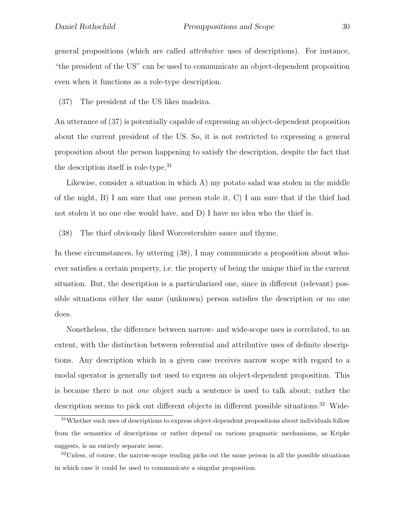general propositions (which are called *attributive* uses of descriptions). For instance, "the president of the US" can be used to communicate an object-dependent proposition even when it functions as a role-type description.

(37) The president of the US likes madeira.

An utterance of (37) is potentially capable of expressing an object-dependent proposition about the current president of the US. So, it is not restricted to expressing a general proposition about the person happening to satisfy the description, despite the fact that the description itself is role-type.<sup>31</sup>

Likewise, consider a situation in which A) my potato salad was stolen in the middle of the night, B) I am sure that one person stole it, C) I am sure that if the thief had not stolen it no one else would have, and D) I have no idea who the thief is.

(38) The thief obviously liked Worcestershire sauce and thyme.

In these circumstances, by uttering (38), I may communicate a proposition about whoever satisfies a certain property, i.e. the property of being the unique thief in the current situation. But, the description is a particularized one, since in different (relevant) possible situations either the same (unknown) person satisfies the description or no one does.

Nonetheless, the difference between narrow- and wide-scope uses is correlated, to an extent, with the distinction between referential and attributive uses of definite descriptions. Any description which in a given case receives narrow scope with regard to a modal operator is generally not used to express an object-dependent proposition. This is because there is not *one* object such a sentence is used to talk about; rather the description seems to pick out different objects in different possible situations.<sup>32</sup> Wide-

<sup>31</sup>Whether such uses of descriptions to express object-dependent propositions about individuals follow from the semantics of descriptions or rather depend on various pragmatic mechanisms, as Kripke suggests, is an entirely separate issue.

<sup>&</sup>lt;sup>32</sup>Unless, of course, the narrow-scope reading picks out the same person in all the possible situations in which case it could be used to communicate a singular proposition.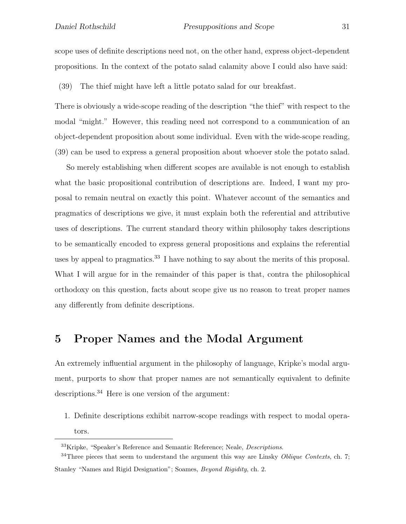scope uses of definite descriptions need not, on the other hand, express object-dependent propositions. In the context of the potato salad calamity above I could also have said:

(39) The thief might have left a little potato salad for our breakfast.

There is obviously a wide-scope reading of the description "the thief" with respect to the modal "might." However, this reading need not correspond to a communication of an object-dependent proposition about some individual. Even with the wide-scope reading, (39) can be used to express a general proposition about whoever stole the potato salad.

So merely establishing when different scopes are available is not enough to establish what the basic propositional contribution of descriptions are. Indeed, I want my proposal to remain neutral on exactly this point. Whatever account of the semantics and pragmatics of descriptions we give, it must explain both the referential and attributive uses of descriptions. The current standard theory within philosophy takes descriptions to be semantically encoded to express general propositions and explains the referential uses by appeal to pragmatics.<sup>33</sup> I have nothing to say about the merits of this proposal. What I will argue for in the remainder of this paper is that, contra the philosophical orthodoxy on this question, facts about scope give us no reason to treat proper names any differently from definite descriptions.

## 5 Proper Names and the Modal Argument

An extremely influential argument in the philosophy of language, Kripke's modal argument, purports to show that proper names are not semantically equivalent to definite descriptions.<sup>34</sup> Here is one version of the argument:

1. Definite descriptions exhibit narrow-scope readings with respect to modal operators.

<sup>&</sup>lt;sup>33</sup>Kripke, "Speaker's Reference and Semantic Reference; Neale, *Descriptions*.

 $34$ Three pieces that seem to understand the argument this way are Linsky *Oblique Contexts*, ch. 7; Stanley "Names and Rigid Designation"; Soames, Beyond Rigidity, ch. 2.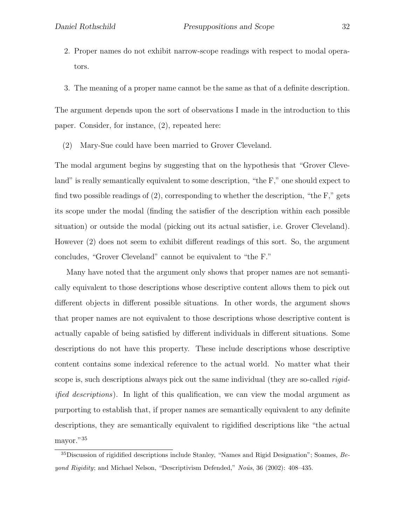- 2. Proper names do not exhibit narrow-scope readings with respect to modal operators.
- 3. The meaning of a proper name cannot be the same as that of a definite description.

The argument depends upon the sort of observations I made in the introduction to this paper. Consider, for instance, (2), repeated here:

(2) Mary-Sue could have been married to Grover Cleveland.

The modal argument begins by suggesting that on the hypothesis that "Grover Cleveland" is really semantically equivalent to some description, "the F," one should expect to find two possible readings of  $(2)$ , corresponding to whether the description, "the F," gets its scope under the modal (finding the satisfier of the description within each possible situation) or outside the modal (picking out its actual satisfier, i.e. Grover Cleveland). However (2) does not seem to exhibit different readings of this sort. So, the argument concludes, "Grover Cleveland" cannot be equivalent to "the F."

Many have noted that the argument only shows that proper names are not semantically equivalent to those descriptions whose descriptive content allows them to pick out different objects in different possible situations. In other words, the argument shows that proper names are not equivalent to those descriptions whose descriptive content is actually capable of being satisfied by different individuals in different situations. Some descriptions do not have this property. These include descriptions whose descriptive content contains some indexical reference to the actual world. No matter what their scope is, such descriptions always pick out the same individual (they are so-called *rigidified descriptions*). In light of this qualification, we can view the modal argument as purporting to establish that, if proper names are semantically equivalent to any definite descriptions, they are semantically equivalent to rigidified descriptions like "the actual mayor."<sup>35</sup>

 $35$ Discussion of rigidified descriptions include Stanley, "Names and Rigid Designation"; Soames,  $Be$ *yond Rigidity*; and Michael Nelson, "Descriptivism Defended,"  $No\hat{u}$ s, 36 (2002): 408–435.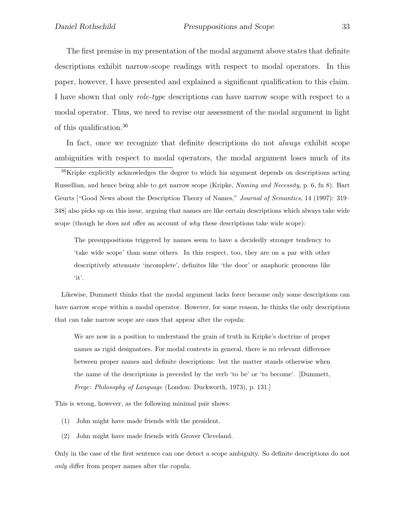The first premise in my presentation of the modal argument above states that definite descriptions exhibit narrow-scope readings with respect to modal operators. In this paper, however, I have presented and explained a significant qualification to this claim. I have shown that only *role-type* descriptions can have narrow scope with respect to a modal operator. Thus, we need to revise our assessment of the modal argument in light of this qualification.<sup>36</sup>

In fact, once we recognize that definite descriptions do not *always* exhibit scope ambiguities with respect to modal operators, the modal argument loses much of its

<sup>36</sup>Kripke explicitly acknowledges the degree to which his argument depends on descriptions acting Russellian, and hence being able to get narrow scope (Kripke, Naming and Necessity, p. 6, fn 8). Bart Geurts ["Good News about the Description Theory of Names," Journal of Semantics, 14 (1997): 319– 348] also picks up on this issue, arguing that names are like certain descriptions which always take wide scope (though he does not offer an account of why these descriptions take wide scope):

The presuppositions triggered by names seem to have a decidedly stronger tendency to 'take wide scope' than some others. In this respect, too, they are on a par with other descriptively attenuate 'incomplete', definites like 'the door' or anaphoric pronouns like 'it'.

Likewise, Dummett thinks that the modal argument lacks force because only some descriptions can have narrow scope within a modal operator. However, for some reason, he thinks the only descriptions that can take narrow scope are ones that appear after the copula:

We are now in a position to understand the grain of truth in Kripke's doctrine of proper names as rigid designators. For modal contexts in general, there is no relevant difference between proper names and definite descriptions: but the matter stands otherwise when the name of the descriptions is preceded by the verb 'to be' or 'to become'. [Dummett, Frege: Philosophy of Language (London: Duckworth, 1973), p. 131.]

This is wrong, however, as the following minimal pair shows:

- (1) John might have made friends with the president.
- (2) John might have made friends with Grover Cleveland.

Only in the case of the first sentence can one detect a scope ambiguity. So definite descriptions do not only differ from proper names after the copula.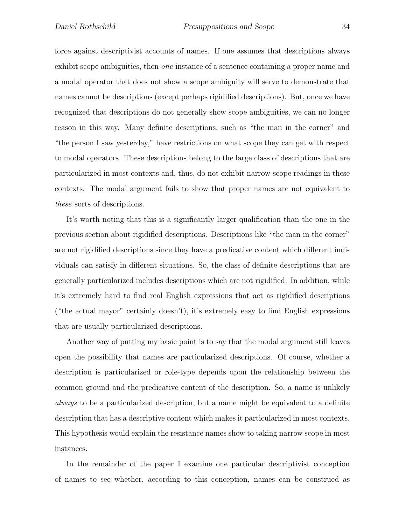force against descriptivist accounts of names. If one assumes that descriptions always exhibit scope ambiguities, then *one* instance of a sentence containing a proper name and a modal operator that does not show a scope ambiguity will serve to demonstrate that names cannot be descriptions (except perhaps rigidified descriptions). But, once we have recognized that descriptions do not generally show scope ambiguities, we can no longer reason in this way. Many definite descriptions, such as "the man in the corner" and "the person I saw yesterday," have restrictions on what scope they can get with respect to modal operators. These descriptions belong to the large class of descriptions that are particularized in most contexts and, thus, do not exhibit narrow-scope readings in these contexts. The modal argument fails to show that proper names are not equivalent to *these* sorts of descriptions.

It's worth noting that this is a significantly larger qualification than the one in the previous section about rigidified descriptions. Descriptions like "the man in the corner" are not rigidified descriptions since they have a predicative content which different individuals can satisfy in different situations. So, the class of definite descriptions that are generally particularized includes descriptions which are not rigidified. In addition, while it's extremely hard to find real English expressions that act as rigidified descriptions ("the actual mayor" certainly doesn't), it's extremely easy to find English expressions that are usually particularized descriptions.

Another way of putting my basic point is to say that the modal argument still leaves open the possibility that names are particularized descriptions. Of course, whether a description is particularized or role-type depends upon the relationship between the common ground and the predicative content of the description. So, a name is unlikely *always* to be a particularized description, but a name might be equivalent to a definite description that has a descriptive content which makes it particularized in most contexts. This hypothesis would explain the resistance names show to taking narrow scope in most instances.

In the remainder of the paper I examine one particular descriptivist conception of names to see whether, according to this conception, names can be construed as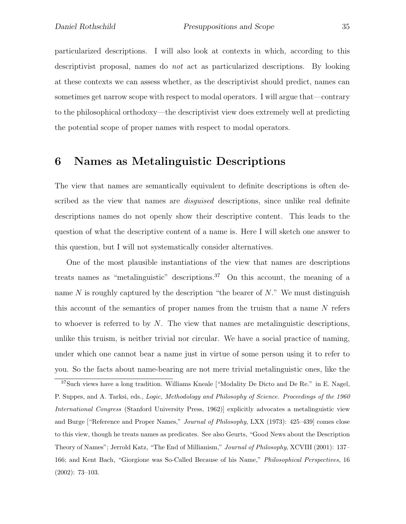particularized descriptions. I will also look at contexts in which, according to this descriptivist proposal, names do *not* act as particularized descriptions. By looking at these contexts we can assess whether, as the descriptivist should predict, names can sometimes get narrow scope with respect to modal operators. I will argue that—contrary to the philosophical orthodoxy—the descriptivist view does extremely well at predicting the potential scope of proper names with respect to modal operators.

## 6 Names as Metalinguistic Descriptions

The view that names are semantically equivalent to definite descriptions is often described as the view that names are *disguised* descriptions, since unlike real definite descriptions names do not openly show their descriptive content. This leads to the question of what the descriptive content of a name is. Here I will sketch one answer to this question, but I will not systematically consider alternatives.

One of the most plausible instantiations of the view that names are descriptions treats names as "metalinguistic" descriptions.<sup>37</sup> On this account, the meaning of a name  $N$  is roughly captured by the description "the bearer of  $N$ ." We must distinguish this account of the semantics of proper names from the truism that a name  $N$  refers to whoever is referred to by  $N$ . The view that names are metalinguistic descriptions, unlike this truism, is neither trivial nor circular. We have a social practice of naming, under which one cannot bear a name just in virtue of some person using it to refer to you. So the facts about name-bearing are not mere trivial metalinguistic ones, like the

 $37$ Such views have a long tradition. Williams Kneale ["Modality De Dicto and De Re." in E. Nagel, P. Suppes, and A. Tarksi, eds., Logic, Methodology and Philosophy of Science. Proceedings of the 1960 International Congress (Stanford University Press, 1962)] explicitly advocates a metalinguistic view and Burge ["Reference and Proper Names," Journal of Philosophy, LXX (1973): 425–439] comes close to this view, though he treats names as predicates. See also Geurts, "Good News about the Description Theory of Names"; Jerrold Katz, "The End of Millianism," Journal of Philosophy, XCVIII (2001): 137– 166; and Kent Bach, "Giorgione was So-Called Because of his Name," Philosophical Perspectives, 16 (2002): 73–103.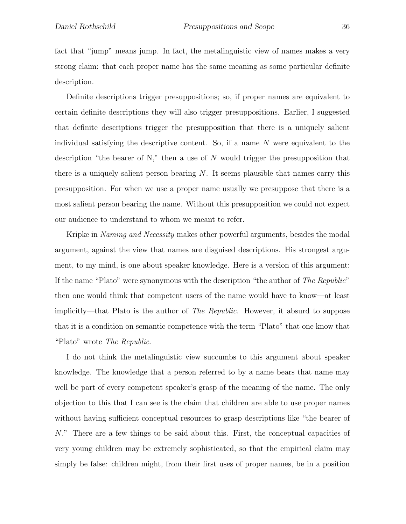fact that "jump" means jump. In fact, the metalinguistic view of names makes a very strong claim: that each proper name has the same meaning as some particular definite description.

Definite descriptions trigger presuppositions; so, if proper names are equivalent to certain definite descriptions they will also trigger presuppositions. Earlier, I suggested that definite descriptions trigger the presupposition that there is a uniquely salient individual satisfying the descriptive content. So, if a name  $N$  were equivalent to the description "the bearer of N," then a use of N would trigger the presupposition that there is a uniquely salient person bearing  $N$ . It seems plausible that names carry this presupposition. For when we use a proper name usually we presuppose that there is a most salient person bearing the name. Without this presupposition we could not expect our audience to understand to whom we meant to refer.

Kripke in *Naming and Necessity* makes other powerful arguments, besides the modal argument, against the view that names are disguised descriptions. His strongest argument, to my mind, is one about speaker knowledge. Here is a version of this argument: If the name "Plato" were synonymous with the description "the author of *The Republic*" then one would think that competent users of the name would have to know—at least implicitly—that Plato is the author of *The Republic*. However, it absurd to suppose that it is a condition on semantic competence with the term "Plato" that one know that "Plato" wrote *The Republic*.

I do not think the metalinguistic view succumbs to this argument about speaker knowledge. The knowledge that a person referred to by a name bears that name may well be part of every competent speaker's grasp of the meaning of the name. The only objection to this that I can see is the claim that children are able to use proper names without having sufficient conceptual resources to grasp descriptions like "the bearer of N." There are a few things to be said about this. First, the conceptual capacities of very young children may be extremely sophisticated, so that the empirical claim may simply be false: children might, from their first uses of proper names, be in a position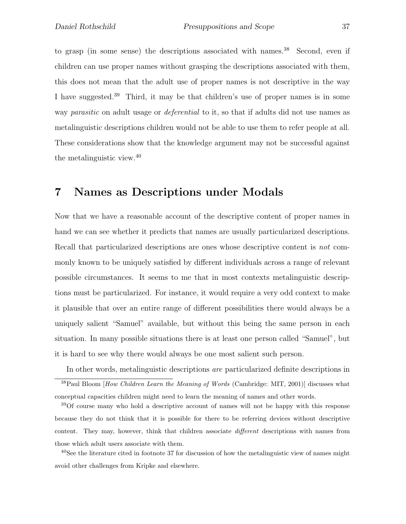to grasp (in some sense) the descriptions associated with names.<sup>38</sup> Second, even if children can use proper names without grasping the descriptions associated with them, this does not mean that the adult use of proper names is not descriptive in the way I have suggested.<sup>39</sup> Third, it may be that children's use of proper names is in some way *parasitic* on adult usage or *deferential* to it, so that if adults did not use names as metalinguistic descriptions children would not be able to use them to refer people at all. These considerations show that the knowledge argument may not be successful against the metalinguistic view.<sup>40</sup>

## 7 Names as Descriptions under Modals

Now that we have a reasonable account of the descriptive content of proper names in hand we can see whether it predicts that names are usually particularized descriptions. Recall that particularized descriptions are ones whose descriptive content is *not* commonly known to be uniquely satisfied by different individuals across a range of relevant possible circumstances. It seems to me that in most contexts metalinguistic descriptions must be particularized. For instance, it would require a very odd context to make it plausible that over an entire range of different possibilities there would always be a uniquely salient "Samuel" available, but without this being the same person in each situation. In many possible situations there is at least one person called "Samuel", but it is hard to see why there would always be one most salient such person.

In other words, metalinguistic descriptions *are* particularized definite descriptions in  $38$ Paul Bloom [How Children Learn the Meaning of Words (Cambridge: MIT, 2001)] discusses what conceptual capacities children might need to learn the meaning of names and other words.

<sup>39</sup>Of course many who hold a descriptive account of names will not be happy with this response because they do not think that it is possible for there to be referring devices without descriptive content. They may, however, think that children associate different descriptions with names from those which adult users associate with them.

 $^{40}$ See the literature cited in footnote 37 for discussion of how the metalinguistic view of names might avoid other challenges from Kripke and elsewhere.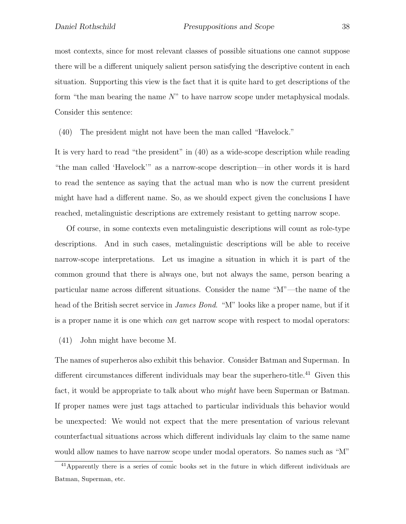most contexts, since for most relevant classes of possible situations one cannot suppose there will be a different uniquely salient person satisfying the descriptive content in each situation. Supporting this view is the fact that it is quite hard to get descriptions of the form "the man bearing the name  $N$ " to have narrow scope under metaphysical modals. Consider this sentence:

(40) The president might not have been the man called "Havelock."

It is very hard to read "the president" in (40) as a wide-scope description while reading "the man called 'Havelock'" as a narrow-scope description—in other words it is hard to read the sentence as saying that the actual man who is now the current president might have had a different name. So, as we should expect given the conclusions I have reached, metalinguistic descriptions are extremely resistant to getting narrow scope.

Of course, in some contexts even metalinguistic descriptions will count as role-type descriptions. And in such cases, metalinguistic descriptions will be able to receive narrow-scope interpretations. Let us imagine a situation in which it is part of the common ground that there is always one, but not always the same, person bearing a particular name across different situations. Consider the name "M"—the name of the head of the British secret service in *James Bond*. "M" looks like a proper name, but if it is a proper name it is one which *can* get narrow scope with respect to modal operators:

(41) John might have become M.

The names of superheros also exhibit this behavior. Consider Batman and Superman. In different circumstances different individuals may bear the superhero-title.<sup>41</sup> Given this fact, it would be appropriate to talk about who *might* have been Superman or Batman. If proper names were just tags attached to particular individuals this behavior would be unexpected: We would not expect that the mere presentation of various relevant counterfactual situations across which different individuals lay claim to the same name would allow names to have narrow scope under modal operators. So names such as "M"

<sup>&</sup>lt;sup>41</sup>Apparently there is a series of comic books set in the future in which different individuals are Batman, Superman, etc.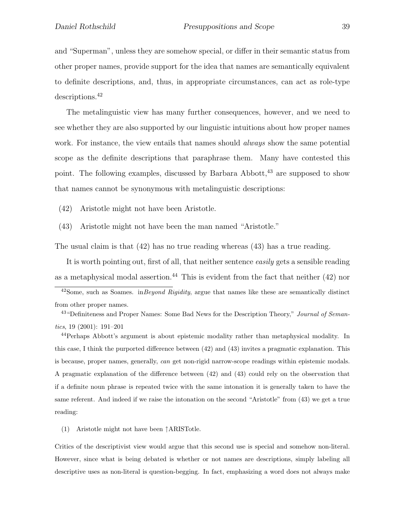and "Superman", unless they are somehow special, or differ in their semantic status from other proper names, provide support for the idea that names are semantically equivalent to definite descriptions, and, thus, in appropriate circumstances, can act as role-type descriptions.<sup>42</sup>

The metalinguistic view has many further consequences, however, and we need to see whether they are also supported by our linguistic intuitions about how proper names work. For instance, the view entails that names should *always* show the same potential scope as the definite descriptions that paraphrase them. Many have contested this point. The following examples, discussed by Barbara Abbott,<sup>43</sup> are supposed to show that names cannot be synonymous with metalinguistic descriptions:

(42) Aristotle might not have been Aristotle.

(43) Aristotle might not have been the man named "Aristotle."

The usual claim is that (42) has no true reading whereas (43) has a true reading.

It is worth pointing out, first of all, that neither sentence *easily* gets a sensible reading as a metaphysical modal assertion.<sup>44</sup> This is evident from the fact that neither  $(42)$  nor

<sup>43</sup> "Definiteness and Proper Names: Some Bad News for the Description Theory," Journal of Semantics, 19 (2001): 191–201

<sup>44</sup>Perhaps Abbott's argument is about epistemic modality rather than metaphysical modality. In this case, I think the purported difference between (42) and (43) invites a pragmatic explanation. This is because, proper names, generally, can get non-rigid narrow-scope readings within epistemic modals. A pragmatic explanation of the difference between (42) and (43) could rely on the observation that if a definite noun phrase is repeated twice with the same intonation it is generally taken to have the same referent. And indeed if we raise the intonation on the second "Aristotle" from (43) we get a true reading:

(1) Aristotle might not have been ↑ARISTotle.

Critics of the descriptivist view would argue that this second use is special and somehow non-literal. However, since what is being debated is whether or not names are descriptions, simply labeling all descriptive uses as non-literal is question-begging. In fact, emphasizing a word does not always make

 $42$ Some, such as Soames. in Beyond Rigidity, argue that names like these are semantically distinct from other proper names.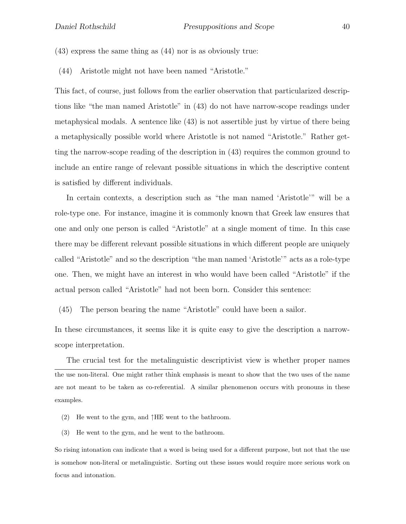- (43) express the same thing as (44) nor is as obviously true:
- (44) Aristotle might not have been named "Aristotle."

This fact, of course, just follows from the earlier observation that particularized descriptions like "the man named Aristotle" in (43) do not have narrow-scope readings under metaphysical modals. A sentence like (43) is not assertible just by virtue of there being a metaphysically possible world where Aristotle is not named "Aristotle." Rather getting the narrow-scope reading of the description in (43) requires the common ground to include an entire range of relevant possible situations in which the descriptive content is satisfied by different individuals.

In certain contexts, a description such as "the man named 'Aristotle'" will be a role-type one. For instance, imagine it is commonly known that Greek law ensures that one and only one person is called "Aristotle" at a single moment of time. In this case there may be different relevant possible situations in which different people are uniquely called "Aristotle" and so the description "the man named 'Aristotle'" acts as a role-type one. Then, we might have an interest in who would have been called "Aristotle" if the actual person called "Aristotle" had not been born. Consider this sentence:

(45) The person bearing the name "Aristotle" could have been a sailor.

In these circumstances, it seems like it is quite easy to give the description a narrowscope interpretation.

The crucial test for the metalinguistic descriptivist view is whether proper names the use non-literal. One might rather think emphasis is meant to show that the two uses of the name are not meant to be taken as co-referential. A similar phenomenon occurs with pronouns in these examples.

- (2) He went to the gym, and  $\uparrow$ HE went to the bathroom.
- (3) He went to the gym, and he went to the bathroom.

So rising intonation can indicate that a word is being used for a different purpose, but not that the use is somehow non-literal or metalinguistic. Sorting out these issues would require more serious work on focus and intonation.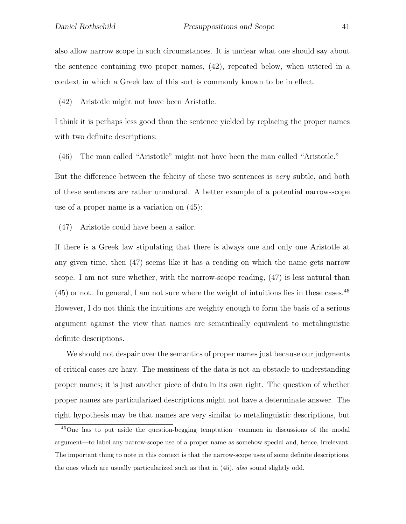also allow narrow scope in such circumstances. It is unclear what one should say about the sentence containing two proper names, (42), repeated below, when uttered in a context in which a Greek law of this sort is commonly known to be in effect.

(42) Aristotle might not have been Aristotle.

I think it is perhaps less good than the sentence yielded by replacing the proper names with two definite descriptions:

(46) The man called "Aristotle" might not have been the man called "Aristotle."

But the difference between the felicity of these two sentences is *very* subtle, and both of these sentences are rather unnatural. A better example of a potential narrow-scope use of a proper name is a variation on (45):

(47) Aristotle could have been a sailor.

If there is a Greek law stipulating that there is always one and only one Aristotle at any given time, then (47) seems like it has a reading on which the name gets narrow scope. I am not sure whether, with the narrow-scope reading, (47) is less natural than  $(45)$  or not. In general, I am not sure where the weight of intuitions lies in these cases.<sup>45</sup> However, I do not think the intuitions are weighty enough to form the basis of a serious argument against the view that names are semantically equivalent to metalinguistic definite descriptions.

We should not despair over the semantics of proper names just because our judgments of critical cases are hazy. The messiness of the data is not an obstacle to understanding proper names; it is just another piece of data in its own right. The question of whether proper names are particularized descriptions might not have a determinate answer. The right hypothesis may be that names are very similar to metalinguistic descriptions, but

<sup>45</sup>One has to put aside the question-begging temptation—common in discussions of the modal argument—to label any narrow-scope use of a proper name as somehow special and, hence, irrelevant. The important thing to note in this context is that the narrow-scope uses of some definite descriptions, the ones which are usually particularized such as that in (45), also sound slightly odd.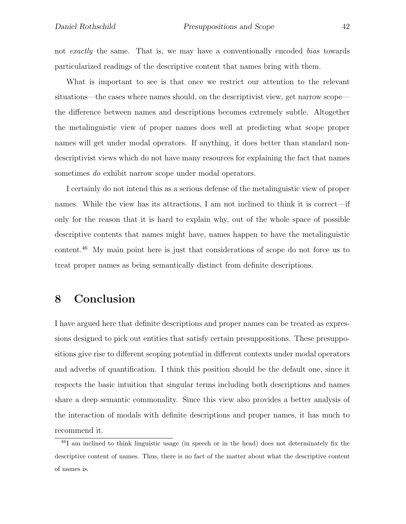not *exactly* the same. That is, we may have a conventionally encoded *bias* towards particularized readings of the descriptive content that names bring with them.

What is important to see is that once we restrict our attention to the relevant situations—the cases where names should, on the descriptivist view, get narrow scope the difference between names and descriptions becomes extremely subtle. Altogether the metalinguistic view of proper names does well at predicting what scope proper names will get under modal operators. If anything, it does better than standard nondescriptivist views which do not have many resources for explaining the fact that names sometimes *do* exhibit narrow scope under modal operators.

I certainly do not intend this as a serious defense of the metalinguistic view of proper names. While the view has its attractions, I am not inclined to think it is correct—if only for the reason that it is hard to explain why, out of the whole space of possible descriptive contents that names might have, names happen to have the metalinguistic content.<sup>46</sup> My main point here is just that considerations of scope do not force us to treat proper names as being semantically distinct from definite descriptions.

## 8 Conclusion

I have argued here that definite descriptions and proper names can be treated as expressions designed to pick out entities that satisfy certain presuppositions. These presuppositions give rise to different scoping potential in different contexts under modal operators and adverbs of quantification. I think this position should be the default one, since it respects the basic intuition that singular terms including both descriptions and names share a deep semantic commonality. Since this view also provides a better analysis of the interaction of modals with definite descriptions and proper names, it has much to recommend it.

<sup>46</sup>I am inclined to think linguistic usage (in speech or in the head) does not determinately fix the descriptive content of names. Thus, there is no fact of the matter about what the descriptive content of names is.